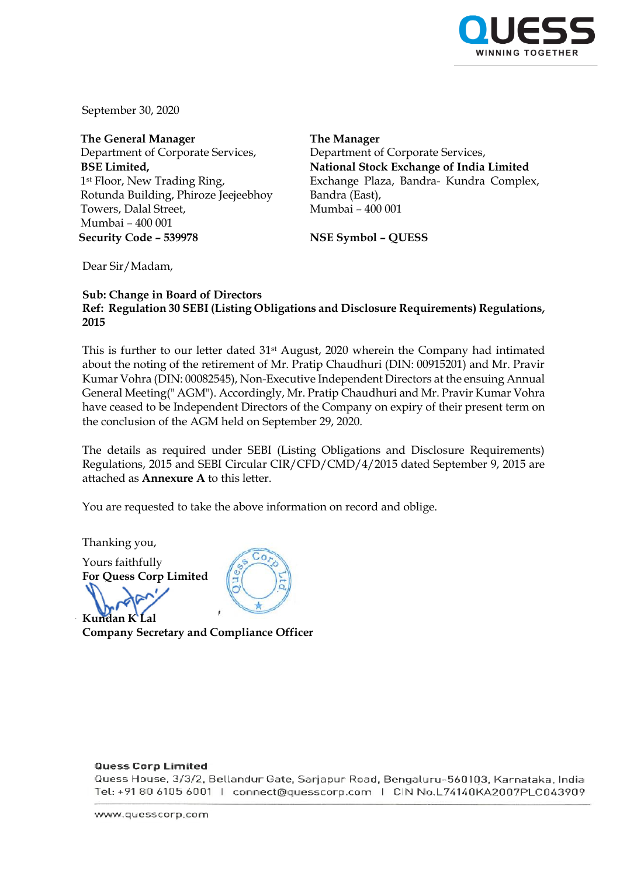

September 30, 2020

**The General Manager** Department of Corporate Services, **BSE Limited,** 1<sup>st</sup> Floor, New Trading Ring, Rotunda Building, Phiroze Jeejeebhoy Towers, Dalal Street, Mumbai – 400 001 **Security Code – 539978 NSE Symbol – QUESS**

**The Manager** Department of Corporate Services, **National Stock Exchange of India Limited** Exchange Plaza, Bandra- Kundra Complex, Bandra (East), Mumbai – 400 001

Dear Sir/Madam,

## **Sub: Change in Board of Directors Ref: Regulation 30 SEBI (Listing Obligations and Disclosure Requirements) Regulations, 2015**

This is further to our letter dated 31st August, 2020 wherein the Company had intimated about the noting of the retirement of Mr. Pratip Chaudhuri (DIN: 00915201) and Mr. Pravir Kumar Vohra (DIN: 00082545), Non-Executive Independent Directors at the ensuing Annual General Meeting(" AGM"). Accordingly, Mr. Pratip Chaudhuri and Mr. Pravir Kumar Vohra have ceased to be Independent Directors of the Company on expiry of their present term on the conclusion of the AGM held on September 29, 2020.

The details as required under SEBI (Listing Obligations and Disclosure Requirements) Regulations, 2015 and SEBI Circular CIR/CFD/CMD/4/2015 dated September 9, 2015 are attached as **Annexure A** to this letter.

You are requested to take the above information on record and oblige.

Thanking you,

Yours faithfully **For Quess Corp Limited** 

**Kundan K Lal**

**Company Secretary and Compliance Officer**

## **Quess Corp Limited**

Quess House, 3/3/2, Bellandur Gate, Sarjapur Road, Bengaluru-560103, Karnataka, India Tel: +91 80 6105 6001 | connect@quesscorp.com | CIN No.L74140KA2007PLC043909